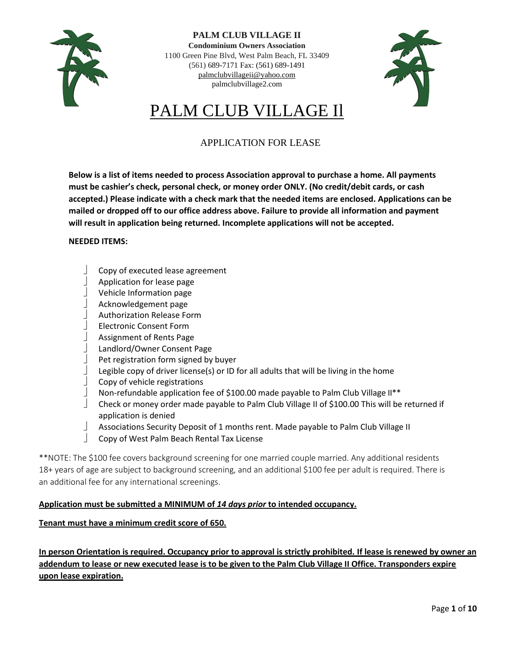

**PALM CLUB VILLAGE II Condominium Owners Association** 1100 Green Pine Blvd, West Palm Beach, FL 33409 (561) 689-7171 Fax: (561) 689-1491 [palmclubvillageii@yahoo.com](mailto:palmclubvillageii@yahoo.com) palmclubvillage2.com



# PALM CLUB VILLAGE Il

# APPLICATION FOR LEASE

**Below is a list of items needed to process Association approval to purchase a home. All payments must be cashier's check, personal check, or money order ONLY. (No credit/debit cards, or cash accepted.) Please indicate with a check mark that the needed items are enclosed. Applications can be mailed or dropped off to our office address above. Failure to provide all information and payment will result in application being returned. Incomplete applications will not be accepted.**

### **NEEDED ITEMS:**

- Copy of executed lease agreement
- $\Box$  Application for lease page
- Vehicle Information page
- Acknowledgement page
- Authorization Release Form
- Electronic Consent Form
- Assignment of Rents Page
- Landlord/Owner Consent Page
- Pet registration form signed by buyer
- Legible copy of driver license(s) or ID for all adults that will be living in the home
- Copy of vehicle registrations
- Non-refundable application fee of \$100.00 made payable to Palm Club Village II\*\*
- Check or money order made payable to Palm Club Village II of \$100.00 This will be returned if application is denied
- Associations Security Deposit of 1 months rent. Made payable to Palm Club Village II
- Copy of West Palm Beach Rental Tax License

\*\*NOTE: The \$100 fee covers background screening for one married couple married. Any additional residents 18+ years of age are subject to background screening, and an additional \$100 fee per adult is required. There is an additional fee for any international screenings.

### **Application must be submitted a MINIMUM of** *14 days prior* **to intended occupancy.**

### **Tenant must have a minimum credit score of 650.**

**In person Orientation is required. Occupancy prior to approval is strictly prohibited. If lease is renewed by owner an addendum to lease or new executed lease is to be given to the Palm Club Village II Office. Transponders expire upon lease expiration.**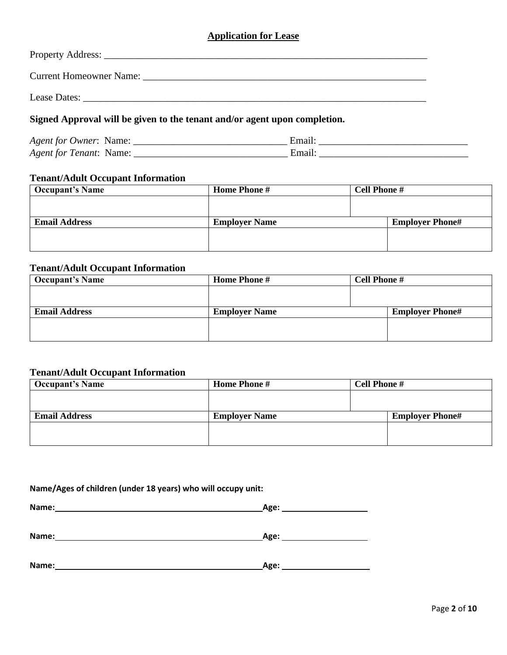# **Application for Lease**

| Signed Approval will be given to the tenant and/or agent upon completion. |
|---------------------------------------------------------------------------|

| <i>Agent for Owner:</i><br>Name <sup>.</sup> |  |
|----------------------------------------------|--|
| Agent for Tenant:<br>Name:                   |  |

# **Tenant/Adult Occupant Information**

| <b>Occupant's Name</b> | <b>Home Phone #</b>  | <b>Cell Phone #</b>    |
|------------------------|----------------------|------------------------|
|                        |                      |                        |
|                        |                      |                        |
| <b>Email Address</b>   | <b>Employer Name</b> | <b>Employer Phone#</b> |
|                        |                      |                        |
|                        |                      |                        |
|                        |                      |                        |

# **Tenant/Adult Occupant Information**

| <b>Occupant's Name</b> | <b>Home Phone #</b>  | <b>Cell Phone #</b> |                        |
|------------------------|----------------------|---------------------|------------------------|
|                        |                      |                     |                        |
|                        |                      |                     |                        |
| <b>Email Address</b>   | <b>Employer Name</b> |                     | <b>Employer Phone#</b> |
|                        |                      |                     |                        |
|                        |                      |                     |                        |
|                        |                      |                     |                        |

# **Tenant/Adult Occupant Information**

| <b>Occupant's Name</b> | <b>Home Phone #</b>  | <b>Cell Phone #</b>    |
|------------------------|----------------------|------------------------|
|                        |                      |                        |
|                        |                      |                        |
| <b>Email Address</b>   | <b>Employer Name</b> | <b>Employer Phone#</b> |
|                        |                      |                        |
|                        |                      |                        |
|                        |                      |                        |

### **Name/Ages of children (under 18 years) who will occupy unit:**

| Name: | $\sim$ $\sim$<br>- 15 |
|-------|-----------------------|
|       |                       |
|       |                       |

| Name:<br>_______ | <b>Age:</b> |
|------------------|-------------|
|                  |             |

| Name: | Age: |
|-------|------|
|       |      |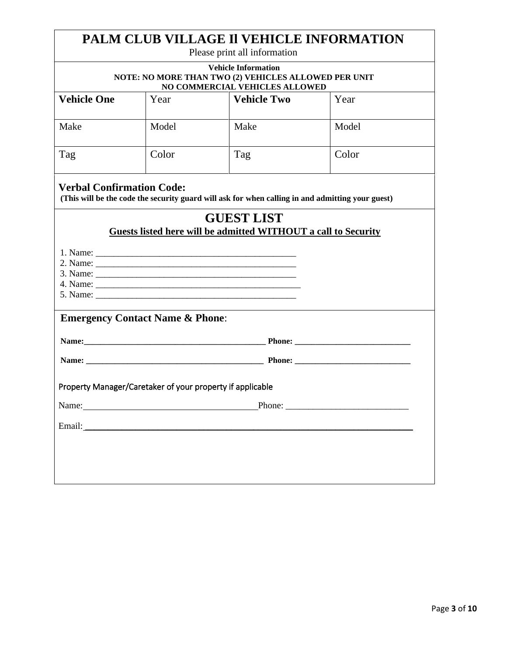|                                                                                                                      |       | PALM CLUB VILLAGE II VEHICLE INFORMATION<br>Please print all information                         |        |
|----------------------------------------------------------------------------------------------------------------------|-------|--------------------------------------------------------------------------------------------------|--------|
| <b>Vehicle Information</b><br>NOTE: NO MORE THAN TWO (2) VEHICLES ALLOWED PER UNIT<br>NO COMMERCIAL VEHICLES ALLOWED |       |                                                                                                  |        |
| <b>Vehicle One</b>                                                                                                   | Year  | <b>Vehicle Two</b>                                                                               | Year   |
| Make                                                                                                                 | Model | Make                                                                                             | Model  |
| Tag                                                                                                                  | Color | Tag                                                                                              | Color  |
| <b>Verbal Confirmation Code:</b>                                                                                     |       | (This will be the code the security guard will ask for when calling in and admitting your guest) |        |
|                                                                                                                      |       | <b>GUEST LIST</b><br>Guests listed here will be admitted WITHOUT a call to Security              |        |
|                                                                                                                      |       |                                                                                                  |        |
| <b>Emergency Contact Name &amp; Phone:</b>                                                                           |       |                                                                                                  |        |
|                                                                                                                      |       |                                                                                                  |        |
|                                                                                                                      |       |                                                                                                  |        |
| Property Manager/Caretaker of your property if applicable                                                            |       |                                                                                                  |        |
| Name:                                                                                                                |       |                                                                                                  | Phone: |
|                                                                                                                      |       |                                                                                                  |        |
|                                                                                                                      |       |                                                                                                  |        |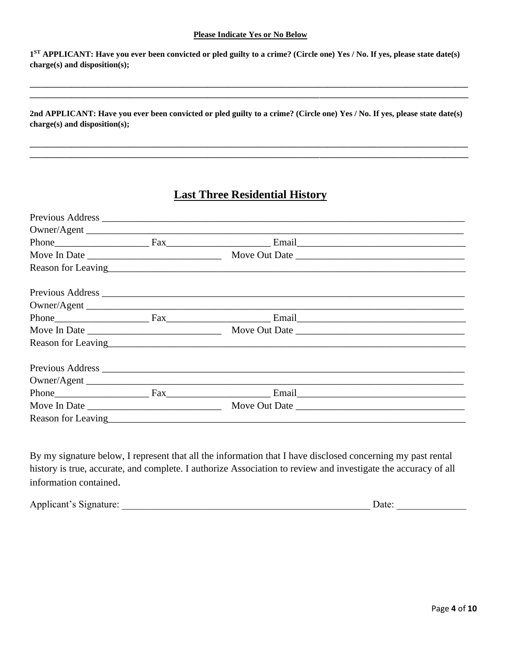#### **Please Indicate Yes or No Below**

**1 ST APPLICANT: Have you ever been convicted or pled guilty to a crime? (Circle one) Yes / No. If yes, please state date(s) charge(s) and disposition(s);**

**\_\_\_\_\_\_\_\_\_\_\_\_\_\_\_\_\_\_\_\_\_\_\_\_\_\_\_\_\_\_\_\_\_\_\_\_\_\_\_\_\_\_\_\_\_\_\_\_\_\_\_\_\_\_\_\_\_\_\_\_\_\_\_\_\_\_\_\_\_\_\_\_\_\_\_\_\_\_\_\_\_\_\_\_\_\_\_\_\_\_\_\_\_\_\_\_\_\_\_\_\_\_\_\_\_\_ \_\_\_\_\_\_\_\_\_\_\_\_\_\_\_\_\_\_\_\_\_\_\_\_\_\_\_\_\_\_\_\_\_\_\_\_\_\_\_\_\_\_\_\_\_\_\_\_\_\_\_\_\_\_\_\_\_\_\_\_\_\_\_\_\_\_\_\_\_\_\_\_\_\_\_\_\_\_\_\_\_\_\_\_\_\_\_\_\_\_\_\_\_\_\_\_\_\_\_\_\_\_\_\_\_\_**

**2nd APPLICANT: Have you ever been convicted or pled guilty to a crime? (Circle one) Yes / No. If yes, please state date(s) charge(s) and disposition(s);**

**\_\_\_\_\_\_\_\_\_\_\_\_\_\_\_\_\_\_\_\_\_\_\_\_\_\_\_\_\_\_\_\_\_\_\_\_\_\_\_\_\_\_\_\_\_\_\_\_\_\_\_\_\_\_\_\_\_\_\_\_\_\_\_\_\_\_\_\_\_\_\_\_\_\_\_\_\_\_\_\_\_\_\_\_\_\_\_\_\_\_\_\_\_\_\_\_\_\_\_\_\_\_\_\_\_\_ \_\_\_\_\_\_\_\_\_\_\_\_\_\_\_\_\_\_\_\_\_\_\_\_\_\_\_\_\_\_\_\_\_\_\_\_\_\_\_\_\_\_\_\_\_\_\_\_\_\_\_\_\_\_\_\_\_\_\_\_\_\_\_\_\_\_\_\_\_\_\_\_\_\_\_\_\_\_\_\_\_\_\_\_\_\_\_\_\_\_\_\_\_\_\_\_\_\_\_\_\_\_\_\_\_\_**

# **Last Three Residential History**

|                                           | Owner/Agent                          |  |
|-------------------------------------------|--------------------------------------|--|
|                                           |                                      |  |
|                                           |                                      |  |
|                                           | Reason for Leaving <u>Containers</u> |  |
|                                           |                                      |  |
|                                           |                                      |  |
| Phone Fax                                 |                                      |  |
|                                           |                                      |  |
|                                           |                                      |  |
|                                           |                                      |  |
|                                           |                                      |  |
|                                           |                                      |  |
|                                           |                                      |  |
| Reason for Leaving<br><u>Example 2014</u> |                                      |  |

By my signature below, I represent that all the information that I have disclosed concerning my past rental history is true, accurate, and complete. I authorize Association to review and investigate the accuracy of all information contained.

Applicant's Signature: \_\_\_\_\_\_\_\_\_\_\_\_\_\_\_\_\_\_\_\_\_\_\_\_\_\_\_\_\_\_\_\_\_\_\_\_\_\_\_\_\_\_\_\_\_\_\_\_\_\_ Date: \_\_\_\_\_\_\_\_\_\_\_\_\_\_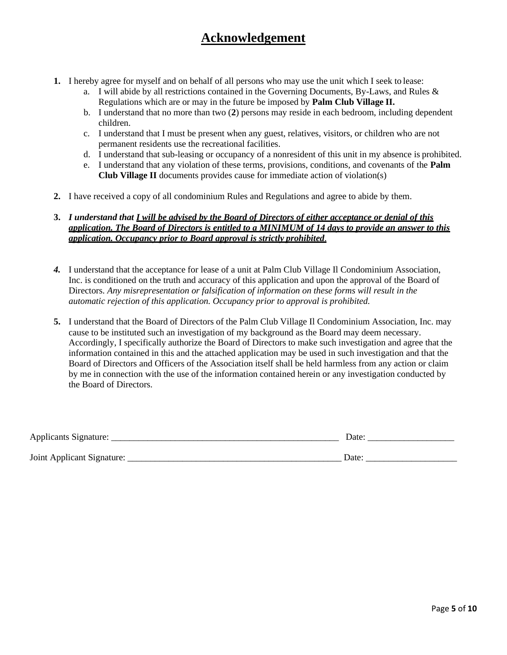# **Acknowledgement**

- **1.** I hereby agree for myself and on behalf of all persons who may use the unit which I seek to lease:
	- a. I will abide by all restrictions contained in the Governing Documents, By-Laws, and Rules & Regulations which are or may in the future be imposed by **Palm Club Village II.**
	- b. I understand that no more than two (**2**) persons may reside in each bedroom, including dependent children.
	- c. I understand that I must be present when any guest, relatives, visitors, or children who are not permanent residents use the recreational facilities.
	- d. I understand that sub-leasing or occupancy of a nonresident of this unit in my absence is prohibited.
	- e. I understand that any violation of these terms, provisions, conditions, and covenants of the **Palm Club Village II** documents provides cause for immediate action of violation(s)
- **2.** I have received a copy of all condominium Rules and Regulations and agree to abide by them.

### **3.** *I understand that I will be advised by the Board of Directors of either acceptance or denial of this application. The Board of Directors is entitled to a MINIMUM of 14 days to provide an answer to this application. Occupancy prior to Board approval is strictly prohibited*.

- *4.* I understand that the acceptance for lease of a unit at Palm Club Village Il Condominium Association, Inc. is conditioned on the truth and accuracy of this application and upon the approval of the Board of Directors. *Any misrepresentation or falsification of information on these forms will result in the automatic rejection of this application. Occupancy prior to approval is prohibited.*
- **5.** I understand that the Board of Directors of the Palm Club Village Il Condominium Association, Inc. may cause to be instituted such an investigation of my background as the Board may deem necessary. Accordingly, I specifically authorize the Board of Directors to make such investigation and agree that the information contained in this and the attached application may be used in such investigation and that the Board of Directors and Officers of the Association itself shall be held harmless from any action or claim by me in connection with the use of the information contained herein or any investigation conducted by the Board of Directors.

| <b>Applicants Signature:</b> | Date: |
|------------------------------|-------|
| Joint Applicant Signature:   | Jate  |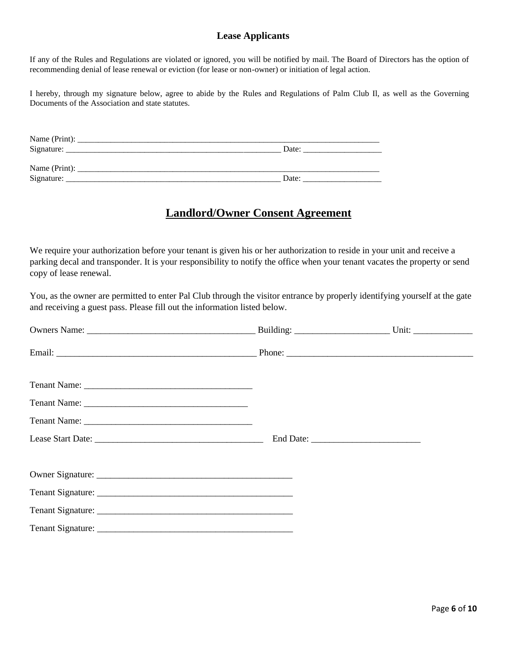### **Lease Applicants**

If any of the Rules and Regulations are violated or ignored, you will be notified by mail. The Board of Directors has the option of recommending denial of lease renewal or eviction (for lease or non-owner) or initiation of legal action.

I hereby, through my signature below, agree to abide by the Rules and Regulations of Palm Club Il, as well as the Governing Documents of the Association and state statutes.

| Name (Print): |       |
|---------------|-------|
| Signature:    | Date: |
|               |       |
| Name (Print): |       |
| Signature:    | Date: |

# **Landlord/Owner Consent Agreement**

We require your authorization before your tenant is given his or her authorization to reside in your unit and receive a parking decal and transponder. It is your responsibility to notify the office when your tenant vacates the property or send copy of lease renewal.

You, as the owner are permitted to enter Pal Club through the visitor entrance by properly identifying yourself at the gate and receiving a guest pass. Please fill out the information listed below.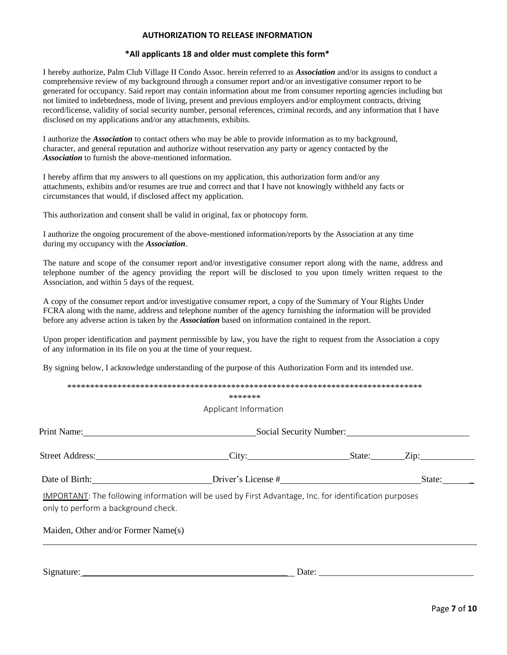#### **AUTHORIZATION TO RELEASE INFORMATION**

#### **\*All applicants 18 and older must complete this form\***

I hereby authorize, Palm Club Village II Condo Assoc. herein referred to as *Association* and/or its assigns to conduct a comprehensive review of my background through a consumer report and/or an investigative consumer report to be generated for occupancy. Said report may contain information about me from consumer reporting agencies including but not limited to indebtedness, mode of living, present and previous employers and/or employment contracts, driving record/license, validity of social security number, personal references, criminal records, and any information that I have disclosed on my applications and/or any attachments, exhibits.

I authorize the *Association* to contact others who may be able to provide information as to my background, character, and general reputation and authorize without reservation any party or agency contacted by the *Association* to furnish the above-mentioned information.

I hereby affirm that my answers to all questions on my application, this authorization form and/or any attachments, exhibits and/or resumes are true and correct and that I have not knowingly withheld any facts or circumstances that would, if disclosed affect my application.

This authorization and consent shall be valid in original, fax or photocopy form.

I authorize the ongoing procurement of the above-mentioned information/reports by the Association at any time during my occupancy with the *Association*.

The nature and scope of the consumer report and/or investigative consumer report along with the name, address and telephone number of the agency providing the report will be disclosed to you upon timely written request to the Association, and within 5 days of the request.

A copy of the consumer report and/or investigative consumer report, a copy of the Summary of Your Rights Under FCRA along with the name, address and telephone number of the agency furnishing the information will be provided before any adverse action is taken by the *Association* based on information contained in the report.

Upon proper identification and payment permissible by law, you have the right to request from the Association a copy of any information in its file on you at the time of your request.

By signing below, I acknowledge understanding of the purpose of this Authorization Form and its intended use.

|                                     | *******                                                                                                |        |  |
|-------------------------------------|--------------------------------------------------------------------------------------------------------|--------|--|
|                                     | Applicant Information                                                                                  |        |  |
| Print Name: 2008. [1] Drink Name:   | Social Security Number: 2008                                                                           |        |  |
|                                     | Street Address: City: City: State: Zip: Zip:                                                           |        |  |
|                                     | Driver's License #                                                                                     | State: |  |
| only to perform a background check. | IMPORTANT: The following information will be used by First Advantage, Inc. for identification purposes |        |  |
|                                     |                                                                                                        |        |  |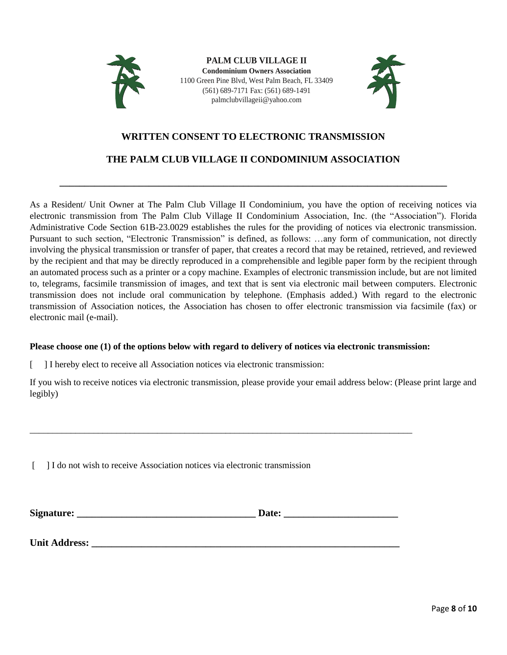

**PALM CLUB VILLAGE II Condominium Owners Association** 1100 Green Pine Blvd, West Palm Beach, FL 33409 (561) 689-7171 Fax: (561) 689-1491 palmclubvillageii@yahoo.com



# **WRITTEN CONSENT TO ELECTRONIC TRANSMISSION**

# **THE PALM CLUB VILLAGE II CONDOMINIUM ASSOCIATION**

**\_\_\_\_\_\_\_\_\_\_\_\_\_\_\_\_\_\_\_\_\_\_\_\_\_\_\_\_\_\_\_\_\_\_\_\_\_\_\_\_\_\_\_\_\_\_\_\_\_\_\_\_\_\_\_\_\_\_\_\_\_\_\_\_\_\_\_\_\_\_\_\_\_\_\_\_\_\_**

As a Resident/ Unit Owner at The Palm Club Village II Condominium, you have the option of receiving notices via electronic transmission from The Palm Club Village II Condominium Association, Inc. (the "Association"). Florida Administrative Code Section 61B-23.0029 establishes the rules for the providing of notices via electronic transmission. Pursuant to such section, "Electronic Transmission" is defined, as follows: …any form of communication, not directly involving the physical transmission or transfer of paper, that creates a record that may be retained, retrieved, and reviewed by the recipient and that may be directly reproduced in a comprehensible and legible paper form by the recipient through an automated process such as a printer or a copy machine. Examples of electronic transmission include, but are not limited to, telegrams, facsimile transmission of images, and text that is sent via electronic mail between computers. Electronic transmission does not include oral communication by telephone. (Emphasis added.) With regard to the electronic transmission of Association notices, the Association has chosen to offer electronic transmission via facsimile (fax) or electronic mail (e-mail).

### **Please choose one (1) of the options below with regard to delivery of notices via electronic transmission:**

[ ] I hereby elect to receive all Association notices via electronic transmission:

If you wish to receive notices via electronic transmission, please provide your email address below: (Please print large and legibly)

[ ] I do not wish to receive Association notices via electronic transmission

**Unit Address:** 

| Signature: | Date: |
|------------|-------|
|            |       |
|            |       |

\_\_\_\_\_\_\_\_\_\_\_\_\_\_\_\_\_\_\_\_\_\_\_\_\_\_\_\_\_\_\_\_\_\_\_\_\_\_\_\_\_\_\_\_\_\_\_\_\_\_\_\_\_\_\_\_\_\_\_\_\_\_\_\_\_\_\_\_\_\_\_\_\_\_\_\_\_\_\_\_\_\_\_\_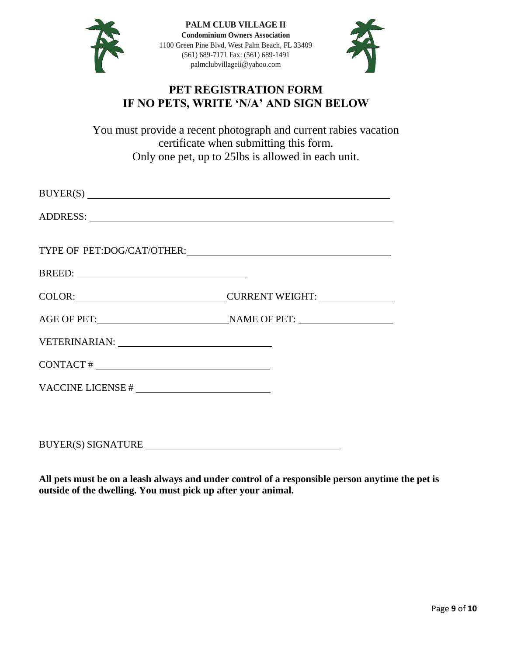

**PALM CLUB VILLAGE II Condominium Owners Association** 1100 Green Pine Blvd, West Palm Beach, FL 33409 (561) 689-7171 Fax: (561) 689-1491 palmclubvillageii@yahoo.com



# **PET REGISTRATION FORM IF NO PETS, WRITE 'N/A' AND SIGN BELOW**

You must provide a recent photograph and current rabies vacation certificate when submitting this form. Only one pet, up to 25lbs is allowed in each unit.

| BUYER(S)                   |                                      |
|----------------------------|--------------------------------------|
|                            |                                      |
|                            |                                      |
| TYPE OF PET:DOG/CAT/OTHER: |                                      |
|                            |                                      |
|                            | COLOR: COLOR: COLOR: CURRENT WEIGHT: |
|                            | AGE OF PET: NAME OF PET:             |
|                            |                                      |
|                            |                                      |
|                            |                                      |
|                            |                                      |
|                            |                                      |

BUYER(S) SIGNATURE

**All pets must be on a leash always and under control of a responsible person anytime the pet is outside of the dwelling. You must pick up after your animal.**